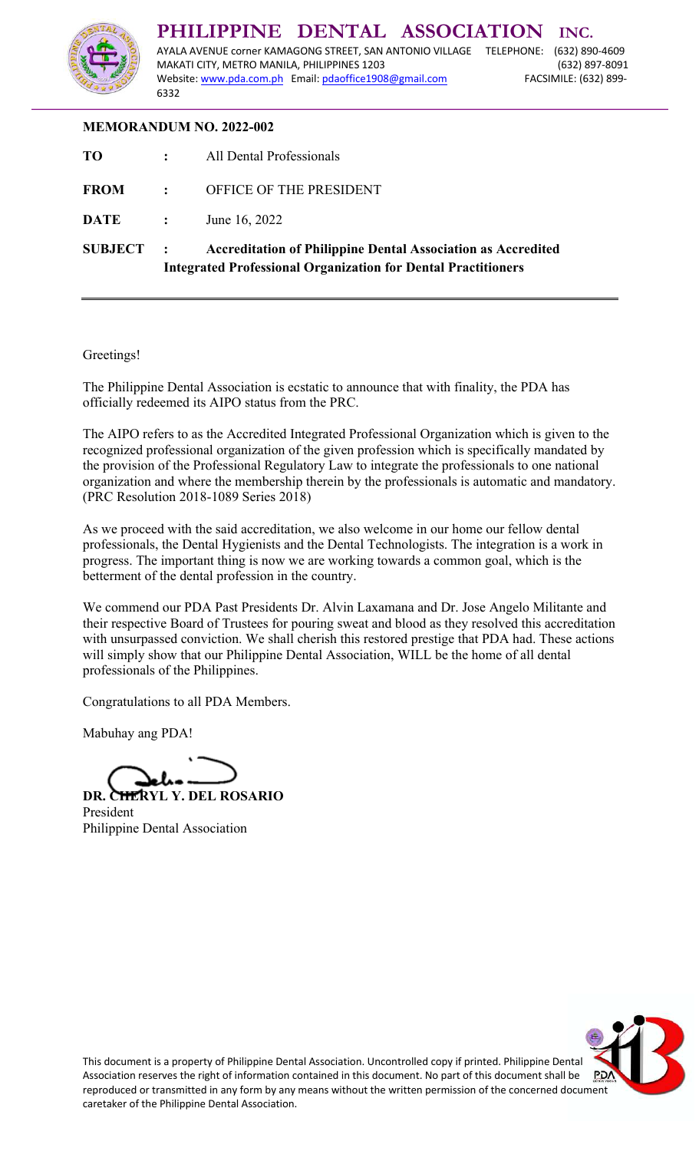

## **MEMORANDUM NO. 2022-002**

| <b>SUBJECT</b> | $\sim 1000$ km s $^{-1}$ | <b>Accreditation of Philippine Dental Association as Accredited</b><br><b>Integrated Professional Organization for Dental Practitioners</b> |
|----------------|--------------------------|---------------------------------------------------------------------------------------------------------------------------------------------|
| DATE :         |                          | June 16, 2022                                                                                                                               |
| FROM :         |                          | OFFICE OF THE PRESIDENT                                                                                                                     |
| <b>TO</b>      |                          | : All Dental Professionals                                                                                                                  |

## Greetings!

The Philippine Dental Association is ecstatic to announce that with finality, the PDA has officially redeemed its AIPO status from the PRC.

The AIPO refers to as the Accredited Integrated Professional Organization which is given to the recognized professional organization of the given profession which is specifically mandated by the provision of the Professional Regulatory Law to integrate the professionals to one national organization and where the membership therein by the professionals is automatic and mandatory. (PRC Resolution 2018-1089 Series 2018)

As we proceed with the said accreditation, we also welcome in our home our fellow dental professionals, the Dental Hygienists and the Dental Technologists. The integration is a work in progress. The important thing is now we are working towards a common goal, which is the betterment of the dental profession in the country.

We commend our PDA Past Presidents Dr. Alvin Laxamana and Dr. Jose Angelo Militante and their respective Board of Trustees for pouring sweat and blood as they resolved this accreditation with unsurpassed conviction. We shall cherish this restored prestige that PDA had. These actions will simply show that our Philippine Dental Association, WILL be the home of all dental professionals of the Philippines.

Congratulations to all PDA Members.

Mabuhay ang PDA!

**DR. CHERYL Y. DEL ROSARIO**  President Philippine Dental Association